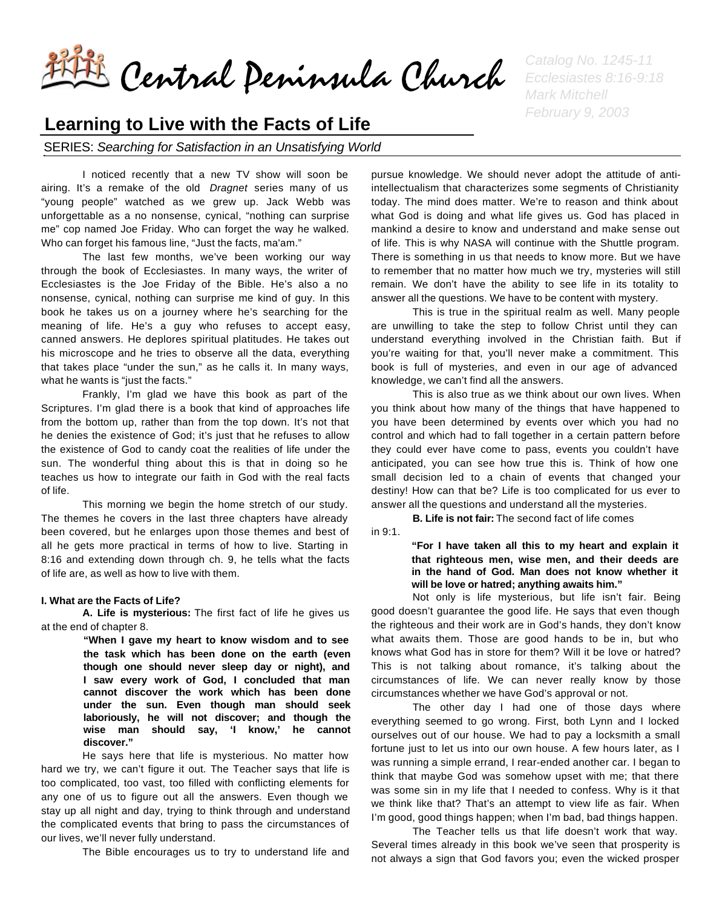Central Peninsula Church *Catalog No. 1245-11* 

## **Learning to Live with the Facts of Life**

SERIES: *Searching for Satisfaction in an Unsatisfying World*

I noticed recently that a new TV show will soon be airing. It's a remake of the old *Dragnet* series many of us "young people" watched as we grew up. Jack Webb was unforgettable as a no nonsense, cynical, "nothing can surprise me" cop named Joe Friday. Who can forget the way he walked. Who can forget his famous line, "Just the facts, ma'am."

The last few months, we've been working our way through the book of Ecclesiastes. In many ways, the writer of Ecclesiastes is the Joe Friday of the Bible. He's also a no nonsense, cynical, nothing can surprise me kind of guy. In this book he takes us on a journey where he's searching for the meaning of life. He's a guy who refuses to accept easy, canned answers. He deplores spiritual platitudes. He takes out his microscope and he tries to observe all the data, everything that takes place "under the sun," as he calls it. In many ways, what he wants is "just the facts."

Frankly, I'm glad we have this book as part of the Scriptures. I'm glad there is a book that kind of approaches life from the bottom up, rather than from the top down. It's not that he denies the existence of God; it's just that he refuses to allow the existence of God to candy coat the realities of life under the sun. The wonderful thing about this is that in doing so he teaches us how to integrate our faith in God with the real facts of life.

This morning we begin the home stretch of our study. The themes he covers in the last three chapters have already been covered, but he enlarges upon those themes and best of all he gets more practical in terms of how to live. Starting in 8:16 and extending down through ch. 9, he tells what the facts of life are, as well as how to live with them.

## **I. What are the Facts of Life?**

**A. Life is mysterious:** The first fact of life he gives us at the end of chapter 8.

> **"When I gave my heart to know wisdom and to see the task which has been done on the earth (even though one should never sleep day or night), and I saw every work of God, I concluded that man cannot discover the work which has been done under the sun. Even though man should seek laboriously, he will not discover; and though the wise man should say, 'I know,' he cannot discover."**

He says here that life is mysterious. No matter how hard we try, we can't figure it out. The Teacher says that life is too complicated, too vast, too filled with conflicting elements for any one of us to figure out all the answers. Even though we stay up all night and day, trying to think through and understand the complicated events that bring to pass the circumstances of our lives, we'll never fully understand.

The Bible encourages us to try to understand life and

*Ecclesiastes 8:16-9:18 Mark Mitchell February 9, 2003*

pursue knowledge. We should never adopt the attitude of antiintellectualism that characterizes some segments of Christianity today. The mind does matter. We're to reason and think about what God is doing and what life gives us. God has placed in mankind a desire to know and understand and make sense out of life. This is why NASA will continue with the Shuttle program. There is something in us that needs to know more. But we have to remember that no matter how much we try, mysteries will still remain. We don't have the ability to see life in its totality to answer all the questions. We have to be content with mystery.

This is true in the spiritual realm as well. Many people are unwilling to take the step to follow Christ until they can understand everything involved in the Christian faith. But if you're waiting for that, you'll never make a commitment. This book is full of mysteries, and even in our age of advanced knowledge, we can't find all the answers.

This is also true as we think about our own lives. When you think about how many of the things that have happened to you have been determined by events over which you had no control and which had to fall together in a certain pattern before they could ever have come to pass, events you couldn't have anticipated, you can see how true this is. Think of how one small decision led to a chain of events that changed your destiny! How can that be? Life is too complicated for us ever to answer all the questions and understand all the mysteries.

**B. Life is not fair:** The second fact of life comes in 9:1.

> **"For I have taken all this to my heart and explain it that righteous men, wise men, and their deeds are in the hand of God. Man does not know whether it will be love or hatred; anything awaits him."**

Not only is life mysterious, but life isn't fair. Being good doesn't guarantee the good life. He says that even though the righteous and their work are in God's hands, they don't know what awaits them. Those are good hands to be in, but who knows what God has in store for them? Will it be love or hatred? This is not talking about romance, it's talking about the circumstances of life. We can never really know by those circumstances whether we have God's approval or not.

The other day I had one of those days where everything seemed to go wrong. First, both Lynn and I locked ourselves out of our house. We had to pay a locksmith a small fortune just to let us into our own house. A few hours later, as I was running a simple errand, I rear-ended another car. I began to think that maybe God was somehow upset with me; that there was some sin in my life that I needed to confess. Why is it that we think like that? That's an attempt to view life as fair. When I'm good, good things happen; when I'm bad, bad things happen.

The Teacher tells us that life doesn't work that way. Several times already in this book we've seen that prosperity is not always a sign that God favors you; even the wicked prosper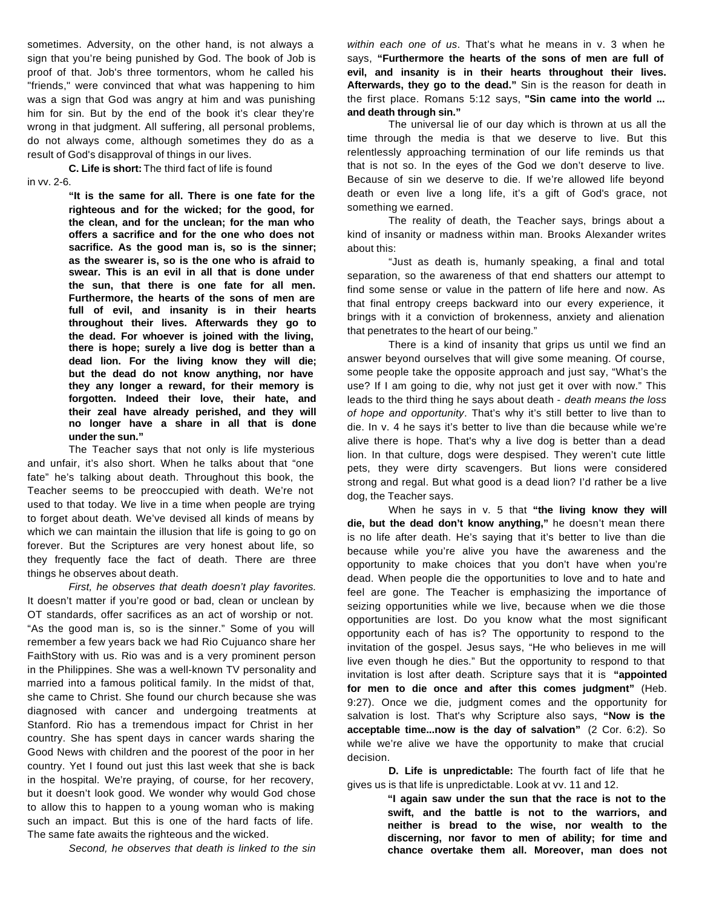sometimes. Adversity, on the other hand, is not always a sign that you're being punished by God. The book of Job is proof of that. Job's three tormentors, whom he called his "friends," were convinced that what was happening to him was a sign that God was angry at him and was punishing him for sin. But by the end of the book it's clear they're wrong in that judgment. All suffering, all personal problems, do not always come, although sometimes they do as a result of God's disapproval of things in our lives.

**C. Life is short:** The third fact of life is found

in vv. 2-6.

**"It is the same for all. There is one fate for the righteous and for the wicked; for the good, for the clean, and for the unclean; for the man who offers a sacrifice and for the one who does not sacrifice. As the good man is, so is the sinner; as the swearer is, so is the one who is afraid to swear. This is an evil in all that is done under the sun, that there is one fate for all men. Furthermore, the hearts of the sons of men are full of evil, and insanity is in their hearts throughout their lives. Afterwards they go to the dead. For whoever is joined with the living, there is hope; surely a live dog is better than a dead lion. For the living know they will die; but the dead do not know anything, nor have they any longer a reward, for their memory is forgotten. Indeed their love, their hate, and their zeal have already perished, and they will no longer have a share in all that is done under the sun."**

The Teacher says that not only is life mysterious and unfair, it's also short. When he talks about that "one fate" he's talking about death. Throughout this book, the Teacher seems to be preoccupied with death. We're not used to that today. We live in a time when people are trying to forget about death. We've devised all kinds of means by which we can maintain the illusion that life is going to go on forever. But the Scriptures are very honest about life, so they frequently face the fact of death. There are three things he observes about death.

*First, he observes that death doesn't play favorites.* It doesn't matter if you're good or bad, clean or unclean by OT standards, offer sacrifices as an act of worship or not. "As the good man is, so is the sinner." Some of you will remember a few years back we had Rio Cujuanco share her FaithStory with us. Rio was and is a very prominent person in the Philippines. She was a well-known TV personality and married into a famous political family. In the midst of that, she came to Christ. She found our church because she was diagnosed with cancer and undergoing treatments at Stanford. Rio has a tremendous impact for Christ in her country. She has spent days in cancer wards sharing the Good News with children and the poorest of the poor in her country. Yet I found out just this last week that she is back in the hospital. We're praying, of course, for her recovery, but it doesn't look good. We wonder why would God chose to allow this to happen to a young woman who is making such an impact. But this is one of the hard facts of life. The same fate awaits the righteous and the wicked.

*Second, he observes that death is linked to the sin* 

*within each one of us*. That's what he means in v. 3 when he says, **"Furthermore the hearts of the sons of men are full of evil, and insanity is in their hearts throughout their lives. Afterwards, they go to the dead."** Sin is the reason for death in the first place. Romans 5:12 says, **"Sin came into the world ... and death through sin."** 

The universal lie of our day which is thrown at us all the time through the media is that we deserve to live. But this relentlessly approaching termination of our life reminds us that that is not so. In the eyes of the God we don't deserve to live. Because of sin we deserve to die. If we're allowed life beyond death or even live a long life, it's a gift of God's grace, not something we earned.

The reality of death, the Teacher says, brings about a kind of insanity or madness within man. Brooks Alexander writes about this:

"Just as death is, humanly speaking, a final and total separation, so the awareness of that end shatters our attempt to find some sense or value in the pattern of life here and now. As that final entropy creeps backward into our every experience, it brings with it a conviction of brokenness, anxiety and alienation that penetrates to the heart of our being."

There is a kind of insanity that grips us until we find an answer beyond ourselves that will give some meaning. Of course, some people take the opposite approach and just say, "What's the use? If I am going to die, why not just get it over with now." This leads to the third thing he says about death - *death means the loss of hope and opportunity*. That's why it's still better to live than to die. In v. 4 he says it's better to live than die because while we're alive there is hope. That's why a live dog is better than a dead lion. In that culture, dogs were despised. They weren't cute little pets, they were dirty scavengers. But lions were considered strong and regal. But what good is a dead lion? I'd rather be a live dog, the Teacher says.

When he says in v. 5 that **"the living know they will die, but the dead don't know anything,"** he doesn't mean there is no life after death. He's saying that it's better to live than die because while you're alive you have the awareness and the opportunity to make choices that you don't have when you're dead. When people die the opportunities to love and to hate and feel are gone. The Teacher is emphasizing the importance of seizing opportunities while we live, because when we die those opportunities are lost. Do you know what the most significant opportunity each of has is? The opportunity to respond to the invitation of the gospel. Jesus says, "He who believes in me will live even though he dies." But the opportunity to respond to that invitation is lost after death. Scripture says that it is **"appointed for men to die once and after this comes judgment"** (Heb. 9:27). Once we die, judgment comes and the opportunity for salvation is lost. That's why Scripture also says, **"Now is the acceptable time...now is the day of salvation"** (2 Cor. 6:2). So while we're alive we have the opportunity to make that crucial decision.

**D. Life is unpredictable:** The fourth fact of life that he gives us is that life is unpredictable. Look at vv. 11 and 12.

> **"I again saw under the sun that the race is not to the swift, and the battle is not to the warriors, and neither is bread to the wise, nor wealth to the discerning, nor favor to men of ability; for time and chance overtake them all. Moreover, man does not**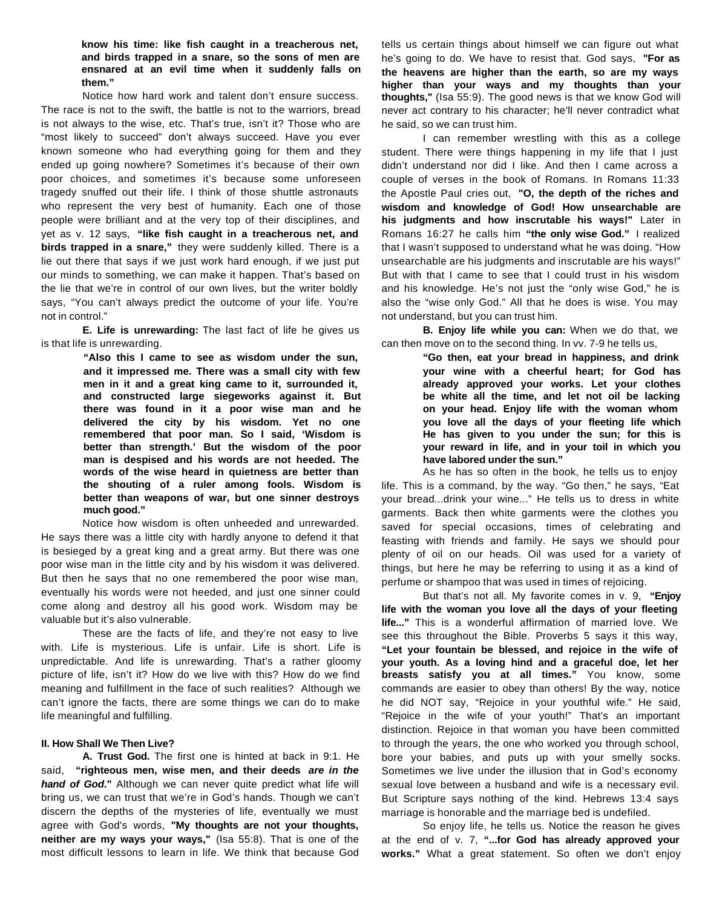**know his time: like fish caught in a treacherous net, and birds trapped in a snare, so the sons of men are ensnared at an evil time when it suddenly falls on them."**

Notice how hard work and talent don't ensure success. The race is not to the swift, the battle is not to the warriors, bread is not always to the wise, etc. That's true, isn't it? Those who are "most likely to succeed" don't always succeed. Have you ever known someone who had everything going for them and they ended up going nowhere? Sometimes it's because of their own poor choices, and sometimes it's because some unforeseen tragedy snuffed out their life. I think of those shuttle astronauts who represent the very best of humanity. Each one of those people were brilliant and at the very top of their disciplines, and yet as v. 12 says, **"like fish caught in a treacherous net, and birds trapped in a snare,"** they were suddenly killed. There is a lie out there that says if we just work hard enough, if we just put our minds to something, we can make it happen. That's based on the lie that we're in control of our own lives, but the writer boldly says, "You can't always predict the outcome of your life. You're not in control."

**E. Life is unrewarding:** The last fact of life he gives us is that life is unrewarding.

> **"Also this I came to see as wisdom under the sun, and it impressed me. There was a small city with few men in it and a great king came to it, surrounded it, and constructed large siegeworks against it. But there was found in it a poor wise man and he delivered the city by his wisdom. Yet no one remembered that poor man. So I said, 'Wisdom is better than strength.' But the wisdom of the poor man is despised and his words are not heeded. The words of the wise heard in quietness are better than the shouting of a ruler among fools. Wisdom is better than weapons of war, but one sinner destroys much good."**

Notice how wisdom is often unheeded and unrewarded. He says there was a little city with hardly anyone to defend it that is besieged by a great king and a great army. But there was one poor wise man in the little city and by his wisdom it was delivered. But then he says that no one remembered the poor wise man, eventually his words were not heeded, and just one sinner could come along and destroy all his good work. Wisdom may be valuable but it's also vulnerable.

These are the facts of life, and they're not easy to live with. Life is mysterious. Life is unfair. Life is short. Life is unpredictable. And life is unrewarding. That's a rather gloomy picture of life, isn't it? How do we live with this? How do we find meaning and fulfillment in the face of such realities? Although we can't ignore the facts, there are some things we can do to make life meaningful and fulfilling.

## **II. How Shall We Then Live?**

**A. Trust God.** The first one is hinted at back in 9:1. He said, **"righteous men, wise men, and their deeds** *are in the hand of God***."** Although we can never quite predict what life will bring us, we can trust that we're in God's hands. Though we can't discern the depths of the mysteries of life, eventually we must agree with God's words, **"My thoughts are not your thoughts, neither are my ways your ways,"** (Isa 55:8). That is one of the most difficult lessons to learn in life. We think that because God tells us certain things about himself we can figure out what he's going to do. We have to resist that. God says, **"For as the heavens are higher than the earth, so are my ways higher than your ways and my thoughts than your thoughts,"** (Isa 55:9). The good news is that we know God will never act contrary to his character; he'll never contradict what he said, so we can trust him.

I can remember wrestling with this as a college student. There were things happening in my life that I just didn't understand nor did I like. And then I came across a couple of verses in the book of Romans. In Romans 11:33 the Apostle Paul cries out, **"O, the depth of the riches and wisdom and knowledge of God! How unsearchable are his judgments and how inscrutable his ways!"** Later in Romans 16:27 he calls him **"the only wise God."** I realized that I wasn't supposed to understand what he was doing. "How unsearchable are his judgments and inscrutable are his ways!" But with that I came to see that I could trust in his wisdom and his knowledge. He's not just the "only wise God," he is also the "wise only God." All that he does is wise. You may not understand, but you can trust him.

**B. Enjoy life while you can:** When we do that, we can then move on to the second thing. In vv. 7-9 he tells us,

> **"Go then, eat your bread in happiness, and drink your wine with a cheerful heart; for God has already approved your works. Let your clothes be white all the time, and let not oil be lacking on your head. Enjoy life with the woman whom you love all the days of your fleeting life which He has given to you under the sun; for this is your reward in life, and in your toil in which you have labored under the sun."**

As he has so often in the book, he tells us to enjoy life. This is a command, by the way. "Go then," he says, "Eat your bread...drink your wine..." He tells us to dress in white garments. Back then white garments were the clothes you saved for special occasions, times of celebrating and feasting with friends and family. He says we should pour plenty of oil on our heads. Oil was used for a variety of things, but here he may be referring to using it as a kind of perfume or shampoo that was used in times of rejoicing.

But that's not all. My favorite comes in v. 9, **"Enjoy life with the woman you love all the days of your fleeting life..."** This is a wonderful affirmation of married love. We see this throughout the Bible. Proverbs 5 says it this way, **"Let your fountain be blessed, and rejoice in the wife of your youth. As a loving hind and a graceful doe, let her breasts satisfy you at all times."** You know, some commands are easier to obey than others! By the way, notice he did NOT say, "Rejoice in your youthful wife." He said, "Rejoice in the wife of your youth!" That's an important distinction. Rejoice in that woman you have been committed to through the years, the one who worked you through school, bore your babies, and puts up with your smelly socks. Sometimes we live under the illusion that in God's economy sexual love between a husband and wife is a necessary evil. But Scripture says nothing of the kind. Hebrews 13:4 says marriage is honorable and the marriage bed is undefiled.

So enjoy life, he tells us. Notice the reason he gives at the end of v. 7, **"...for God has already approved your works."** What a great statement. So often we don't enjoy